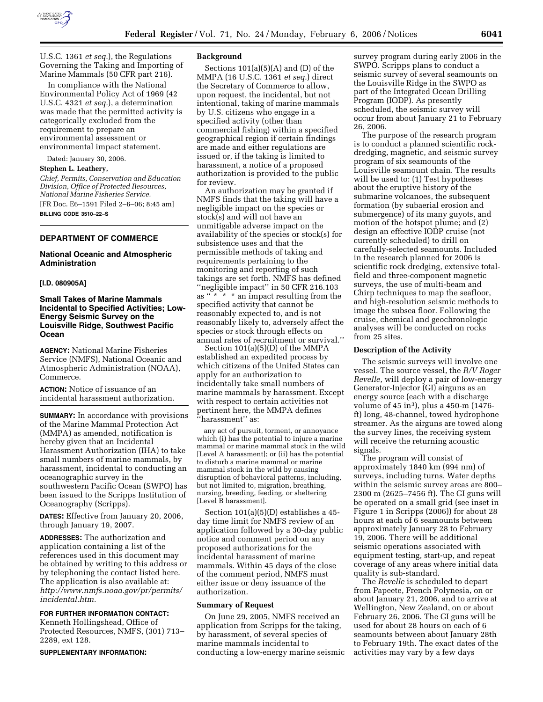

U.S.C. 1361 *et seq.*), the Regulations Governing the Taking and Importing of Marine Mammals (50 CFR part 216).

In compliance with the National Environmental Policy Act of 1969 (42 U.S.C. 4321 *et seq.*), a determination was made that the permitted activity is categorically excluded from the requirement to prepare an environmental assessment or environmental impact statement.

Dated: January 30, 2006.

**Stephen L. Leathery,** 

*Chief, Permits, Conservation and Education Division, Office of Protected Resources, National Marine Fisheries Service.*  [FR Doc. E6–1591 Filed 2–6–06; 8:45 am] **BILLING CODE 3510–22–S** 

# **DEPARTMENT OF COMMERCE**

# **National Oceanic and Atmospheric Administration**

## **[I.D. 080905A]**

# **Small Takes of Marine Mammals Incidental to Specified Activities; Low-Energy Seismic Survey on the Louisville Ridge, Southwest Pacific Ocean**

**AGENCY:** National Marine Fisheries Service (NMFS), National Oceanic and Atmospheric Administration (NOAA), Commerce.

**ACTION:** Notice of issuance of an incidental harassment authorization.

**SUMMARY:** In accordance with provisions of the Marine Mammal Protection Act (MMPA) as amended, notification is hereby given that an Incidental Harassment Authorization (IHA) to take small numbers of marine mammals, by harassment, incidental to conducting an oceanographic survey in the southwestern Pacific Ocean (SWPO) has been issued to the Scripps Institution of Oceanography (Scripps).

**DATES:** Effective from January 20, 2006, through January 19, 2007.

**ADDRESSES:** The authorization and application containing a list of the references used in this document may be obtained by writing to this address or by telephoning the contact listed here. The application is also available at: *http://www.nmfs.noaa.gov/pr/permits/ incidental.htm.* 

### **FOR FURTHER INFORMATION CONTACT:**

Kenneth Hollingshead, Office of Protected Resources, NMFS, (301) 713– 2289, ext 128.

#### **SUPPLEMENTARY INFORMATION:**

#### **Background**

Sections  $101(a)(5)(A)$  and  $(D)$  of the MMPA (16 U.S.C. 1361 *et seq.*) direct the Secretary of Commerce to allow, upon request, the incidental, but not intentional, taking of marine mammals by U.S. citizens who engage in a specified activity (other than commercial fishing) within a specified geographical region if certain findings are made and either regulations are issued or, if the taking is limited to harassment, a notice of a proposed authorization is provided to the public for review.

An authorization may be granted if NMFS finds that the taking will have a negligible impact on the species or stock(s) and will not have an unmitigable adverse impact on the availability of the species or stock(s) for subsistence uses and that the permissible methods of taking and requirements pertaining to the monitoring and reporting of such takings are set forth. NMFS has defined ''negligible impact'' in 50 CFR 216.103 as " \* \* \* an impact resulting from the specified activity that cannot be reasonably expected to, and is not reasonably likely to, adversely affect the species or stock through effects on annual rates of recruitment or survival.''

Section 101(a)(5)(D) of the MMPA established an expedited process by which citizens of the United States can apply for an authorization to incidentally take small numbers of marine mammals by harassment. Except with respect to certain activities not pertinent here, the MMPA defines ''harassment'' as:

any act of pursuit, torment, or annoyance which (i) has the potential to injure a marine mammal or marine mammal stock in the wild [Level A harassment]; or (ii) has the potential to disturb a marine mammal or marine mammal stock in the wild by causing disruption of behavioral patterns, including, but not limited to, migration, breathing, nursing, breeding, feeding, or sheltering [Level B harassment].

Section 101(a)(5)(D) establishes a 45 day time limit for NMFS review of an application followed by a 30-day public notice and comment period on any proposed authorizations for the incidental harassment of marine mammals. Within 45 days of the close of the comment period, NMFS must either issue or deny issuance of the authorization.

#### **Summary of Request**

On June 29, 2005, NMFS received an application from Scripps for the taking, by harassment, of several species of marine mammals incidental to conducting a low-energy marine seismic survey program during early 2006 in the SWPO. Scripps plans to conduct a seismic survey of several seamounts on the Louisville Ridge in the SWPO as part of the Integrated Ocean Drilling Program (IODP). As presently scheduled, the seismic survey will occur from about January 21 to February 26, 2006.

The purpose of the research program is to conduct a planned scientific rockdredging, magnetic, and seismic survey program of six seamounts of the Louisville seamount chain. The results will be used to: (1) Test hypotheses about the eruptive history of the submarine volcanoes, the subsequent formation (by subaerial erosion and submergence) of its many guyots, and motion of the hotspot plume; and (2) design an effective IODP cruise (not currently scheduled) to drill on carefully-selected seamounts. Included in the research planned for 2006 is scientific rock dredging, extensive totalfield and three-component magnetic surveys, the use of multi-beam and Chirp techniques to map the seafloor, and high-resolution seismic methods to image the subsea floor. Following the cruise, chemical and geochronologic analyses will be conducted on rocks from 25 sites.

### **Description of the Activity**

The seismic surveys will involve one vessel. The source vessel, the *R/V Roger Revelle*, will deploy a pair of low-energy Generator-Injector (GI) airguns as an energy source (each with a discharge volume of 45 in3), plus a 450-m (1476 ft) long, 48-channel, towed hydrophone streamer. As the airguns are towed along the survey lines, the receiving system will receive the returning acoustic signals.

The program will consist of approximately 1840 km (994 nm) of surveys, including turns. Water depths within the seismic survey areas are 800– 2300 m (2625–7456 ft). The GI guns will be operated on a small grid (see inset in Figure 1 in Scripps (2006)) for about 28 hours at each of 6 seamounts between approximately January 28 to February 19, 2006. There will be additional seismic operations associated with equipment testing, start-up, and repeat coverage of any areas where initial data quality is sub-standard.

The *Revelle* is scheduled to depart from Papeete, French Polynesia, on or about January 21, 2006, and to arrive at Wellington, New Zealand, on or about February 26, 2006. The GI guns will be used for about 28 hours on each of 6 seamounts between about January 28th to February 19th. The exact dates of the activities may vary by a few days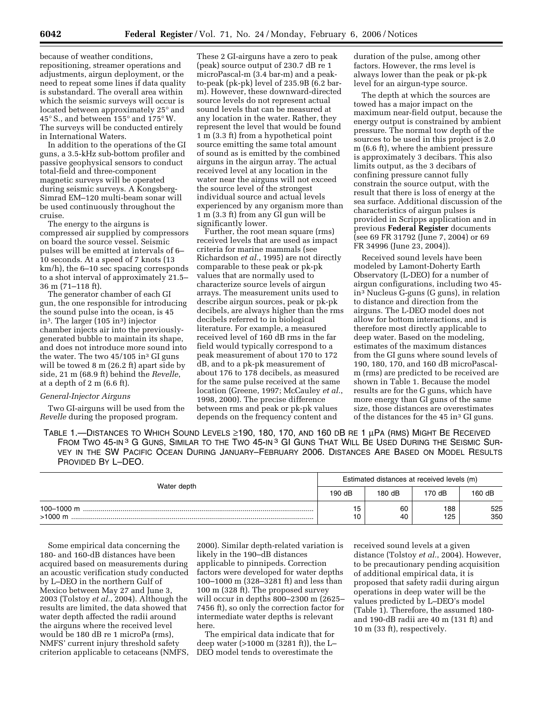because of weather conditions, repositioning, streamer operations and adjustments, airgun deployment, or the need to repeat some lines if data quality is substandard. The overall area within which the seismic surveys will occur is located between approximately 25° and 45° S., and between 155° and 175° W. The surveys will be conducted entirely in International Waters.

In addition to the operations of the GI guns, a 3.5-kHz sub-bottom profiler and passive geophysical sensors to conduct total-field and three-component magnetic surveys will be operated during seismic surveys. A Kongsberg-Simrad EM–120 multi-beam sonar will be used continuously throughout the cruise.

The energy to the airguns is compressed air supplied by compressors on board the source vessel. Seismic pulses will be emitted at intervals of 6– 10 seconds. At a speed of 7 knots (13 km/h), the 6–10 sec spacing corresponds to a shot interval of approximately 21.5– 36 m (71–118 ft).

The generator chamber of each GI gun, the one responsible for introducing the sound pulse into the ocean, is 45 in3. The larger (105 in3) injector chamber injects air into the previouslygenerated bubble to maintain its shape, and does not introduce more sound into the water. The two  $45/105$  in<sup>3</sup> GI guns will be towed 8 m (26.2 ft) apart side by side, 21 m (68.9 ft) behind the *Revelle*, at a depth of 2 m (6.6 ft).

#### *General-Injector Airguns*

Two GI-airguns will be used from the *Revelle* during the proposed program.

These 2 GI-airguns have a zero to peak (peak) source output of 230.7 dB re 1 microPascal-m (3.4 bar-m) and a peakto-peak (pk-pk) level of 235.9B (6.2 barm). However, these downward-directed source levels do not represent actual sound levels that can be measured at any location in the water. Rather, they represent the level that would be found 1 m (3.3 ft) from a hypothetical point source emitting the same total amount of sound as is emitted by the combined airguns in the airgun array. The actual received level at any location in the water near the airguns will not exceed the source level of the strongest individual source and actual levels experienced by any organism more than 1 m (3.3 ft) from any GI gun will be significantly lower.

Further, the root mean square (rms) received levels that are used as impact criteria for marine mammals (see Richardson *et al.*, 1995) are not directly comparable to these peak or pk-pk values that are normally used to characterize source levels of airgun arrays. The measurement units used to describe airgun sources, peak or pk-pk decibels, are always higher than the rms decibels referred to in biological literature. For example, a measured received level of 160 dB rms in the far field would typically correspond to a peak measurement of about 170 to 172 dB, and to a pk-pk measurement of about 176 to 178 decibels, as measured for the same pulse received at the same location (Greene, 1997; McCauley *et al.*, 1998, 2000). The precise difference between rms and peak or pk-pk values depends on the frequency content and

duration of the pulse, among other factors. However, the rms level is always lower than the peak or pk-pk level for an airgun-type source.

The depth at which the sources are towed has a major impact on the maximum near-field output, because the energy output is constrained by ambient pressure. The normal tow depth of the sources to be used in this project is 2.0 m (6.6 ft), where the ambient pressure is approximately 3 decibars. This also limits output, as the 3 decibars of confining pressure cannot fully constrain the source output, with the result that there is loss of energy at the sea surface. Additional discussion of the characteristics of airgun pulses is provided in Scripps application and in previous **Federal Register** documents (see 69 FR 31792 (June 7, 2004) or 69 FR 34996 (June 23, 2004)).

Received sound levels have been modeled by Lamont-Doherty Earth Observatory (L-DEO) for a number of airgun configurations, including two 45 in3 Nucleus G-guns (G guns), in relation to distance and direction from the airguns. The L-DEO model does not allow for bottom interactions, and is therefore most directly applicable to deep water. Based on the modeling, estimates of the maximum distances from the GI guns where sound levels of 190, 180, 170, and 160 dB microPascalm (rms) are predicted to be received are shown in Table 1. Because the model results are for the G guns, which have more energy than GI guns of the same size, those distances are overestimates of the distances for the 45 in3 GI guns.

TABLE 1.—DISTANCES TO WHICH SOUND LEVELS ≥190, 180, 170, AND 160 DB RE 1 µPA (RMS) MIGHT BE RECEIVED FROM TWO 45-IN<sup>3</sup> G GUNS, SIMILAR TO THE TWO 45-IN<sup>3</sup> GI GUNS THAT WILL BE USED DURING THE SEISMIC SUR-VEY IN THE SW PACIFIC OCEAN DURING JANUARY–FEBRUARY 2006. DISTANCES ARE BASED ON MODEL RESULTS PROVIDED BY L–DEO.

| Water depth |        |          | Estimated distances at received levels (m) |            |
|-------------|--------|----------|--------------------------------------------|------------|
|             | 190 dB | 180 dB   | 170 dB                                     | 160 dB     |
| $>1000$ m   | 10     | 60<br>40 | 188<br>125                                 | 525<br>350 |

Some empirical data concerning the 180- and 160-dB distances have been acquired based on measurements during an acoustic verification study conducted by L–DEO in the northern Gulf of Mexico between May 27 and June 3, 2003 (Tolstoy *et al.*, 2004). Although the results are limited, the data showed that water depth affected the radii around the airguns where the received level would be 180 dB re 1 microPa (rms), NMFS' current injury threshold safety criterion applicable to cetaceans (NMFS,

2000). Similar depth-related variation is likely in the 190–dB distances applicable to pinnipeds. Correction factors were developed for water depths 100–1000 m (328–3281 ft) and less than 100 m (328 ft). The proposed survey will occur in depths 800–2300 m (2625– 7456 ft), so only the correction factor for intermediate water depths is relevant here.

The empirical data indicate that for deep water (>1000 m (3281 ft)), the L– DEO model tends to overestimate the

received sound levels at a given distance (Tolstoy *et al.*, 2004). However, to be precautionary pending acquisition of additional empirical data, it is proposed that safety radii during airgun operations in deep water will be the values predicted by L–DEO's model (Table 1). Therefore, the assumed 180 and 190-dB radii are 40 m (131 ft) and 10 m (33 ft), respectively.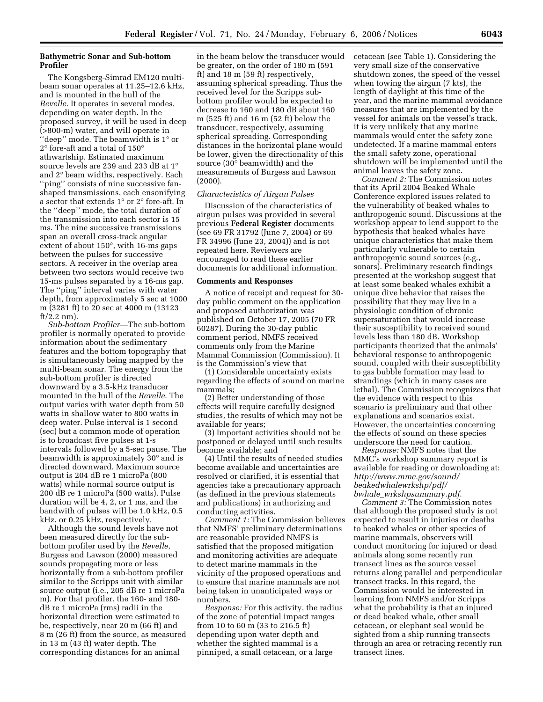# **Bathymetric Sonar and Sub-bottom Profiler**

The Kongsberg-Simrad EM120 multibeam sonar operates at 11.25–12.6 kHz, and is mounted in the hull of the *Revelle.* It operates in several modes, depending on water depth. In the proposed survey, it will be used in deep (>800-m) water, and will operate in ''deep'' mode. The beamwidth is 1° or 2° fore-aft and a total of 150° athwartship. Estimated maximum source levels are 239 and 233 dB at 1° and 2° beam widths, respectively. Each ''ping'' consists of nine successive fanshaped transmissions, each ensonifying a sector that extends 1° or 2° fore-aft. In the ''deep'' mode, the total duration of the transmission into each sector is 15 ms. The nine successive transmissions span an overall cross-track angular extent of about 150°, with 16-ms gaps between the pulses for successive sectors. A receiver in the overlap area between two sectors would receive two 15-ms pulses separated by a 16-ms gap. The ''ping'' interval varies with water depth, from approximately 5 sec at 1000 m (3281 ft) to 20 sec at 4000 m (13123  $ft/2.2$  nm).

*Sub-bottom Profiler*—The sub-bottom profiler is normally operated to provide information about the sedimentary features and the bottom topography that is simultaneously being mapped by the multi-beam sonar. The energy from the sub-bottom profiler is directed downward by a 3.5-kHz transducer mounted in the hull of the *Revelle*. The output varies with water depth from 50 watts in shallow water to 800 watts in deep water. Pulse interval is 1 second (sec) but a common mode of operation is to broadcast five pulses at 1-s intervals followed by a 5-sec pause. The beamwidth is approximately 30° and is directed downward. Maximum source output is 204 dB re 1 microPa (800 watts) while normal source output is 200 dB re 1 microPa (500 watts). Pulse duration will be 4, 2, or 1 ms, and the bandwith of pulses will be 1.0 kHz, 0.5 kHz, or 0.25 kHz, respectively.

Although the sound levels have not been measured directly for the subbottom profiler used by the *Revelle*, Burgess and Lawson (2000) measured sounds propagating more or less horizontally from a sub-bottom profiler similar to the Scripps unit with similar source output (i.e., 205 dB re 1 microPa m). For that profiler, the 160- and 180 dB re 1 microPa (rms) radii in the horizontal direction were estimated to be, respectively, near 20 m (66 ft) and 8 m (26 ft) from the source, as measured in 13 m (43 ft) water depth. The corresponding distances for an animal

in the beam below the transducer would be greater, on the order of 180 m (591 ft) and 18 m (59 ft) respectively, assuming spherical spreading. Thus the received level for the Scripps subbottom profiler would be expected to decrease to 160 and 180 dB about 160 m (525 ft) and 16 m (52 ft) below the transducer, respectively, assuming spherical spreading. Corresponding distances in the horizontal plane would be lower, given the directionality of this source (30° beamwidth) and the measurements of Burgess and Lawson (2000).

## *Characteristics of Airgun Pulses*

Discussion of the characteristics of airgun pulses was provided in several previous **Federal Register** documents (see 69 FR 31792 (June 7, 2004) or 69 FR 34996 (June 23, 2004)) and is not repeated here. Reviewers are encouraged to read these earlier documents for additional information.

## **Comments and Responses**

A notice of receipt and request for 30 day public comment on the application and proposed authorization was published on October 17, 2005 (70 FR 60287). During the 30-day public comment period, NMFS received comments only from the Marine Mammal Commission (Commission). It is the Commission's view that

(1) Considerable uncertainty exists regarding the effects of sound on marine mammals;

(2) Better understanding of those effects will require carefully designed studies, the results of which may not be available for years;

(3) Important activities should not be postponed or delayed until such results become available; and

(4) Until the results of needed studies become available and uncertainties are resolved or clarified, it is essential that agencies take a precautionary approach (as defined in the previous statements and publications) in authorizing and conducting activities.

*Comment 1:* The Commission believes that NMFS' preliminary determinations are reasonable provided NMFS is satisfied that the proposed mitigation and monitoring activities are adequate to detect marine mammals in the vicinity of the proposed operations and to ensure that marine mammals are not being taken in unanticipated ways or numbers.

*Response:* For this activity, the radius of the zone of potential impact ranges from 10 to 60 m (33 to 216.5 ft) depending upon water depth and whether the sighted mammal is a pinniped, a small cetacean, or a large

cetacean (see Table 1). Considering the very small size of the conservative shutdown zones, the speed of the vessel when towing the airgun (7 kts), the length of daylight at this time of the year, and the marine mammal avoidance measures that are implemented by the vessel for animals on the vessel's track, it is very unlikely that any marine mammals would enter the safety zone undetected. If a marine mammal enters the small safety zone, operational shutdown will be implemented until the animal leaves the safety zone.

*Comment 2:* The Commission notes that its April 2004 Beaked Whale Conference explored issues related to the vulnerability of beaked whales to anthropogenic sound. Discussions at the workshop appear to lend support to the hypothesis that beaked whales have unique characteristics that make them particularly vulnerable to certain anthropogenic sound sources (e.g., sonars). Preliminary research findings presented at the workshop suggest that at least some beaked whales exhibit a unique dive behavior that raises the possibility that they may live in a physiologic condition of chronic supersaturation that would increase their susceptibility to received sound levels less than 180 dB. Workshop participants theorized that the animals' behavioral response to anthropogenic sound, coupled with their susceptibility to gas bubble formation may lead to strandings (which in many cases are lethal). The Commission recognizes that the evidence with respect to this scenario is preliminary and that other explanations and scenarios exist. However, the uncertainties concerning the effects of sound on these species underscore the need for caution.

*Response:* NMFS notes that the MMC's workshop summary report is available for reading or downloading at: *http://www.mmc.gov/sound/ beakedwhalewrkshp/pdf/ bwhale*\_*wrkshpsummary.pdf*.

*Comment 3:* The Commission notes that although the proposed study is not expected to result in injuries or deaths to beaked whales or other species of marine mammals, observers will conduct monitoring for injured or dead animals along some recently run transect lines as the source vessel returns along parallel and perpendicular transect tracks. In this regard, the Commission would be interested in learning from NMFS and/or Scripps what the probability is that an injured or dead beaked whale, other small cetacean, or elephant seal would be sighted from a ship running transects through an area or retracing recently run transect lines.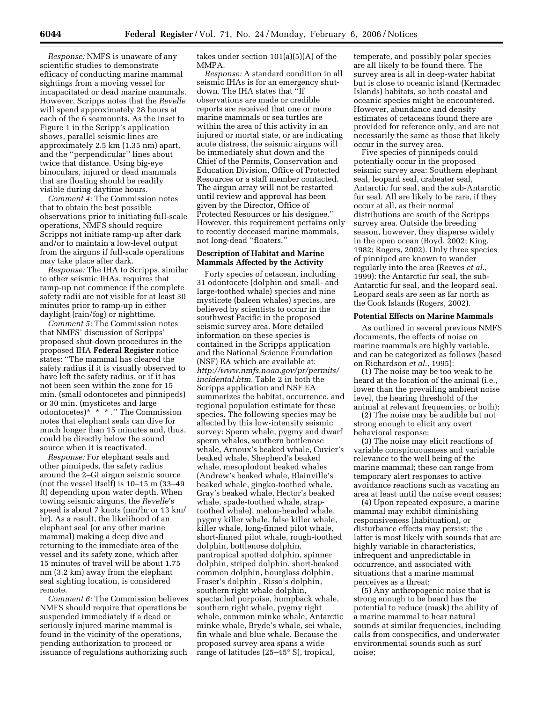*Response:* NMFS is unaware of any scientific studies to demonstrate efficacy of conducting marine mammal sightings from a moving vessel for incapacitated or dead marine mammals. However, Scripps notes that the *Revelle*  will spend approximately 28 hours at each of the 6 seamounts. As the inset to Figure 1 in the Scripp's application shows, parallel seismic lines are approximately 2.5 km (1.35 nm) apart, and the ''perpendicular'' lines about twice that distance. Using big-eye binoculars, injured or dead mammals that are floating should be readily visible during daytime hours.

*Comment 4:* The Commission notes that to obtain the best possible observations prior to initiating full-scale operations, NMFS should require Scripps not initiate ramp-up after dark and/or to maintain a low-level output from the airguns if full-scale operations may take place after dark.

*Response:* The IHA to Scripps, similar to other seismic IHAs, requires that ramp-up not commence if the complete safety radii are not visible for at least 30 minutes prior to ramp-up in either daylight (rain/fog) or nighttime.

*Comment 5:* The Commission notes that NMFS' discussion of Scripps' proposed shut-down procedures in the proposed IHA **Federal Register** notice states: ''The mammal has cleared the safety radius if it is visually observed to have left the safety radius, or if it has not been seen within the zone for 15 min. (small odontocetes and pinnipeds) or 30 min. (mysticetes and large odontocetes)\* \* \* .'' The Commission notes that elephant seals can dive for much longer than 15 minutes and, thus, could be directly below the sound source when it is reactivated.

*Response:* For elephant seals and other pinnipeds, the safety radius around the 2–GI airgun seismic source (not the vessel itself) is 10–15 m (33–49 ft) depending upon water depth. When towing seismic airguns, the *Revelle*'s speed is about 7 knots (nm/hr or 13 km/ hr). As a result, the likelihood of an elephant seal (or any other marine mammal) making a deep dive and returning to the immediate area of the vessel and its safety zone, which after 15 minutes of travel will be about 1.75 nm (3.2 km) away from the elephant seal sighting location, is considered remote.

*Comment 6:* The Commission believes NMFS should require that operations be suspended immediately if a dead or seriously injured marine mammal is found in the vicinity of the operations, pending authorization to proceed or issuance of regulations authorizing such

takes under section 101(a)(5)(A) of the MMPA.

*Response:* A standard condition in all seismic IHAs is for an emergency shutdown. The IHA states that ''If observations are made or credible reports are received that one or more marine mammals or sea turtles are within the area of this activity in an injured or mortal state, or are indicating acute distress, the seismic airguns will be immediately shut down and the Chief of the Permits, Conservation and Education Division, Office of Protected Resources or a staff member contacted. The airgun array will not be restarted until review and approval has been given by the Director, Office of Protected Resources or his designee.'' However, this requirement pertains only to recently deceased marine mammals, not long-dead ''floaters.''

# **Description of Habitat and Marine Mammals Affected by the Activity**

Forty species of cetacean, including 31 odontocete (dolphin and small- and large-toothed whale) species and nine mysticete (baleen whales) species, are believed by scientists to occur in the southwest Pacific in the proposed seismic survey area. More detailed information on these species is contained in the Scripps application and the National Science Foundation (NSF) EA which are available at: *http://www.nmfs.noaa.gov/pr/permits/ incidental.htm.* Table 2 in both the Scripps application and NSF EA summarizes the habitat, occurrence, and regional population estimate for these species. The following species may be affected by this low-intensity seismic survey: Sperm whale, pygmy and dwarf sperm whales, southern bottlenose whale, Arnoux's beaked whale, Cuvier's beaked whale, Shepherd's beaked whale, mesoplodont beaked whales (Andrew's beaked whale, Blainville's beaked whale, gingko-toothed whale, Gray's beaked whale, Hector's beaked whale, spade-toothed whale, straptoothed whale), melon-headed whale, pygmy killer whale, false killer whale, killer whale, long-finned pilot whale, short-finned pilot whale, rough-toothed dolphin, bottlenose dolphin, pantropical spotted dolphin, spinner dolphin, striped dolphin, short-beaked common dolphin, hourglass dolphin, Fraser's dolphin , Risso's dolphin, southern right whale dolphin, spectacled porpoise, humpback whale, southern right whale, pygmy right whale, common minke whale, Antarctic minke whale, Bryde's whale, sei whale, fin whale and blue whale. Because the proposed survey area spans a wide range of latitudes (25–45° S), tropical,

temperate, and possibly polar species are all likely to be found there. The survey area is all in deep-water habitat but is close to oceanic island (Kermadec Islands) habitats, so both coastal and oceanic species might be encountered. However, abundance and density estimates of cetaceans found there are provided for reference only, and are not necessarily the same as those that likely occur in the survey area.

Five species of pinnipeds could potentially occur in the proposed seismic survey area: Southern elephant seal, leopard seal, crabeater seal, Antarctic fur seal, and the sub-Antarctic fur seal. All are likely to be rare, if they occur at all, as their normal distributions are south of the Scripps survey area. Outside the breeding season, however, they disperse widely in the open ocean (Boyd, 2002; King, 1982; Rogers, 2002). Only three species of pinniped are known to wander regularly into the area (Reeves *et al.*, 1999): the Antarctic fur seal, the sub-Antarctic fur seal, and the leopard seal. Leopard seals are seen as far north as the Cook Islands (Rogers, 2002).

#### **Potential Effects on Marine Mammals**

As outlined in several previous NMFS documents, the effects of noise on marine mammals are highly variable, and can be categorized as follows (based on Richardson *et al.*, 1995):

(1) The noise may be too weak to be heard at the location of the animal (i.e., lower than the prevailing ambient noise level, the hearing threshold of the animal at relevant frequencies, or both);

(2) The noise may be audible but not strong enough to elicit any overt behavioral response;

(3) The noise may elicit reactions of variable conspicuousness and variable relevance to the well being of the marine mammal; these can range from temporary alert responses to active avoidance reactions such as vacating an area at least until the noise event ceases;

(4) Upon repeated exposure, a marine mammal may exhibit diminishing responsiveness (habituation), or disturbance effects may persist; the latter is most likely with sounds that are highly variable in characteristics, infrequent and unpredictable in occurrence, and associated with situations that a marine mammal perceives as a threat;

(5) Any anthropogenic noise that is strong enough to be heard has the potential to reduce (mask) the ability of a marine mammal to hear natural sounds at similar frequencies, including calls from conspecifics, and underwater environmental sounds such as surf noise;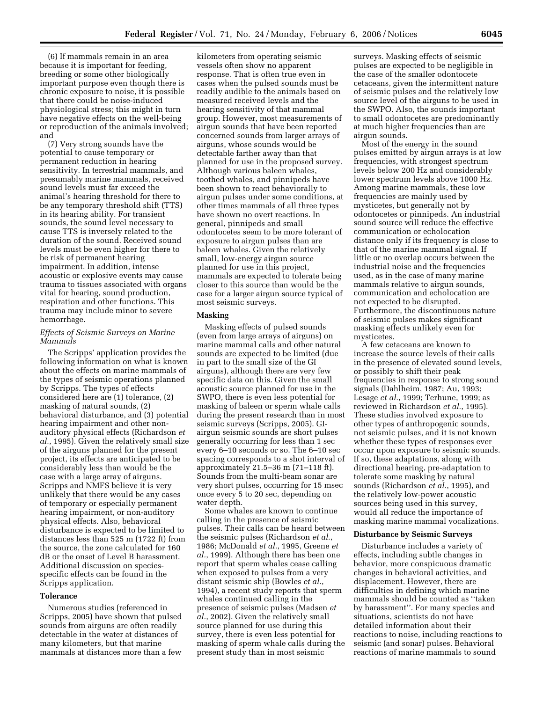(6) If mammals remain in an area because it is important for feeding, breeding or some other biologically important purpose even though there is chronic exposure to noise, it is possible that there could be noise-induced physiological stress; this might in turn have negative effects on the well-being or reproduction of the animals involved; and

(7) Very strong sounds have the potential to cause temporary or permanent reduction in hearing sensitivity. In terrestrial mammals, and presumably marine mammals, received sound levels must far exceed the animal's hearing threshold for there to be any temporary threshold shift (TTS) in its hearing ability. For transient sounds, the sound level necessary to cause TTS is inversely related to the duration of the sound. Received sound levels must be even higher for there to be risk of permanent hearing impairment. In addition, intense acoustic or explosive events may cause trauma to tissues associated with organs vital for hearing, sound production, respiration and other functions. This trauma may include minor to severe hemorrhage.

## *Effects of Seismic Surveys on Marine Mammals*

The Scripps' application provides the following information on what is known about the effects on marine mammals of the types of seismic operations planned by Scripps. The types of effects considered here are (1) tolerance, (2) masking of natural sounds, (2) behavioral disturbance, and (3) potential hearing impairment and other nonauditory physical effects (Richardson *et al.*, 1995). Given the relatively small size of the airguns planned for the present project, its effects are anticipated to be considerably less than would be the case with a large array of airguns. Scripps and NMFS believe it is very unlikely that there would be any cases of temporary or especially permanent hearing impairment, or non-auditory physical effects. Also, behavioral disturbance is expected to be limited to distances less than 525 m (1722 ft) from the source, the zone calculated for 160 dB or the onset of Level B harassment. Additional discussion on speciesspecific effects can be found in the Scripps application.

## **Tolerance**

Numerous studies (referenced in Scripps, 2005) have shown that pulsed sounds from airguns are often readily detectable in the water at distances of many kilometers, but that marine mammals at distances more than a few

kilometers from operating seismic vessels often show no apparent response. That is often true even in cases when the pulsed sounds must be readily audible to the animals based on measured received levels and the hearing sensitivity of that mammal group. However, most measurements of airgun sounds that have been reported concerned sounds from larger arrays of airguns, whose sounds would be detectable farther away than that planned for use in the proposed survey. Although various baleen whales, toothed whales, and pinnipeds have been shown to react behaviorally to airgun pulses under some conditions, at other times mammals of all three types have shown no overt reactions. In general, pinnipeds and small odontocetes seem to be more tolerant of exposure to airgun pulses than are baleen whales. Given the relatively small, low-energy airgun source planned for use in this project, mammals are expected to tolerate being closer to this source than would be the case for a larger airgun source typical of most seismic surveys.

## **Masking**

Masking effects of pulsed sounds (even from large arrays of airguns) on marine mammal calls and other natural sounds are expected to be limited (due in part to the small size of the GI airguns), although there are very few specific data on this. Given the small acoustic source planned for use in the SWPO, there is even less potential for masking of baleen or sperm whale calls during the present research than in most seismic surveys (Scripps, 2005). GIairgun seismic sounds are short pulses generally occurring for less than 1 sec every 6–10 seconds or so. The 6–10 sec spacing corresponds to a shot interval of approximately 21.5–36 m (71–118 ft). Sounds from the multi-beam sonar are very short pulses, occurring for 15 msec once every 5 to 20 sec, depending on water depth.

Some whales are known to continue calling in the presence of seismic pulses. Their calls can be heard between the seismic pulses (Richardson *et al.*, 1986; McDonald *et al.*, 1995, Greene *et al.*, 1999). Although there has been one report that sperm whales cease calling when exposed to pulses from a very distant seismic ship (Bowles *et al.*, 1994), a recent study reports that sperm whales continued calling in the presence of seismic pulses (Madsen *et al.*, 2002). Given the relatively small source planned for use during this survey, there is even less potential for masking of sperm whale calls during the present study than in most seismic

surveys. Masking effects of seismic pulses are expected to be negligible in the case of the smaller odontocete cetaceans, given the intermittent nature of seismic pulses and the relatively low source level of the airguns to be used in the SWPO. Also, the sounds important to small odontocetes are predominantly at much higher frequencies than are airgun sounds.

Most of the energy in the sound pulses emitted by airgun arrays is at low frequencies, with strongest spectrum levels below 200 Hz and considerably lower spectrum levels above 1000 Hz. Among marine mammals, these low frequencies are mainly used by mysticetes, but generally not by odontocetes or pinnipeds. An industrial sound source will reduce the effective communication or echolocation distance only if its frequency is close to that of the marine mammal signal. If little or no overlap occurs between the industrial noise and the frequencies used, as in the case of many marine mammals relative to airgun sounds, communication and echolocation are not expected to be disrupted. Furthermore, the discontinuous nature of seismic pulses makes significant masking effects unlikely even for mysticetes.

A few cetaceans are known to increase the source levels of their calls in the presence of elevated sound levels, or possibly to shift their peak frequencies in response to strong sound signals (Dahlheim, 1987; Au, 1993; Lesage *et al.*, 1999; Terhune, 1999; as reviewed in Richardson *et al.*, 1995). These studies involved exposure to other types of anthropogenic sounds, not seismic pulses, and it is not known whether these types of responses ever occur upon exposure to seismic sounds. If so, these adaptations, along with directional hearing, pre-adaptation to tolerate some masking by natural sounds (Richardson *et al.*, 1995), and the relatively low-power acoustic sources being used in this survey, would all reduce the importance of masking marine mammal vocalizations.

## **Disturbance by Seismic Surveys**

Disturbance includes a variety of effects, including subtle changes in behavior, more conspicuous dramatic changes in behavioral activities, and displacement. However, there are difficulties in defining which marine mammals should be counted as ''taken by harassment''. For many species and situations, scientists do not have detailed information about their reactions to noise, including reactions to seismic (and sonar) pulses. Behavioral reactions of marine mammals to sound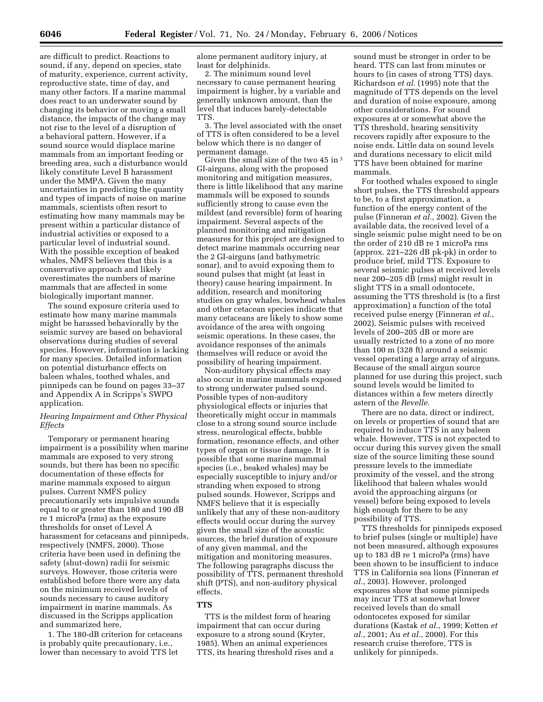are difficult to predict. Reactions to sound, if any, depend on species, state of maturity, experience, current activity, reproductive state, time of day, and many other factors. If a marine mammal does react to an underwater sound by changing its behavior or moving a small distance, the impacts of the change may not rise to the level of a disruption of a behavioral pattern. However, if a sound source would displace marine mammals from an important feeding or breeding area, such a disturbance would likely constitute Level B harassment under the MMPA. Given the many uncertainties in predicting the quantity and types of impacts of noise on marine mammals, scientists often resort to estimating how many mammals may be present within a particular distance of industrial activities or exposed to a particular level of industrial sound. With the possible exception of beaked whales, NMFS believes that this is a conservative approach and likely overestimates the numbers of marine mammals that are affected in some biologically important manner.

The sound exposure criteria used to estimate how many marine mammals might be harassed behaviorally by the seismic survey are based on behavioral observations during studies of several species. However, information is lacking for many species. Detailed information on potential disturbance effects on baleen whales, toothed whales, and pinnipeds can be found on pages 33–37 and Appendix A in Scripps's SWPO application.

## *Hearing Impairment and Other Physical Effects*

Temporary or permanent hearing impairment is a possibility when marine mammals are exposed to very strong sounds, but there has been no specific documentation of these effects for marine mammals exposed to airgun pulses. Current NMFS policy precautionarily sets impulsive sounds equal to or greater than 180 and 190 dB re 1 microPa (rms) as the exposure thresholds for onset of Level A harassment for cetaceans and pinnipeds, respectively (NMFS, 2000). Those criteria have been used in defining the safety (shut-down) radii for seismic surveys. However, those criteria were established before there were any data on the minimum received levels of sounds necessary to cause auditory impairment in marine mammals. As discussed in the Scripps application and summarized here,

1. The 180-dB criterion for cetaceans is probably quite precautionary, i.e., lower than necessary to avoid TTS let

alone permanent auditory injury, at least for delphinids.

2. The minimum sound level necessary to cause permanent hearing impairment is higher, by a variable and generally unknown amount, than the level that induces barely-detectable TTS.

3. The level associated with the onset of TTS is often considered to be a level below which there is no danger of permanent damage.

Given the small size of the two 45 in 3 GI-airguns, along with the proposed monitoring and mitigation measures, there is little likelihood that any marine mammals will be exposed to sounds sufficiently strong to cause even the mildest (and reversible) form of hearing impairment. Several aspects of the planned monitoring and mitigation measures for this project are designed to detect marine mammals occurring near the 2 GI-airguns (and bathymetric sonar), and to avoid exposing them to sound pulses that might (at least in theory) cause hearing impairment. In addition, research and monitoring studies on gray whales, bowhead whales and other cetacean species indicate that many cetaceans are likely to show some avoidance of the area with ongoing seismic operations. In these cases, the avoidance responses of the animals themselves will reduce or avoid the possibility of hearing impairment.

Non-auditory physical effects may also occur in marine mammals exposed to strong underwater pulsed sound. Possible types of non-auditory physiological effects or injuries that theoretically might occur in mammals close to a strong sound source include stress, neurological effects, bubble formation, resonance effects, and other types of organ or tissue damage. It is possible that some marine mammal species (i.e., beaked whales) may be especially susceptible to injury and/or stranding when exposed to strong pulsed sounds. However, Scripps and NMFS believe that it is especially unlikely that any of these non-auditory effects would occur during the survey given the small size of the acoustic sources, the brief duration of exposure of any given mammal, and the mitigation and monitoring measures. The following paragraphs discuss the possibility of TTS, permanent threshold shift (PTS), and non-auditory physical effects.

## **TTS**

TTS is the mildest form of hearing impairment that can occur during exposure to a strong sound (Kryter, 1985). When an animal experiences TTS, its hearing threshold rises and a

sound must be stronger in order to be heard. TTS can last from minutes or hours to (in cases of strong TTS) days. Richardson *et al.* (1995) note that the magnitude of TTS depends on the level and duration of noise exposure, among other considerations. For sound exposures at or somewhat above the TTS threshold, hearing sensitivity recovers rapidly after exposure to the noise ends. Little data on sound levels and durations necessary to elicit mild TTS have been obtained for marine mammals.

For toothed whales exposed to single short pulses, the TTS threshold appears to be, to a first approximation, a function of the energy content of the pulse (Finneran *et al.*, 2002). Given the available data, the received level of a single seismic pulse might need to be on the order of 210 dB re 1 microPa rms (approx. 221–226 dB pk-pk) in order to produce brief, mild TTS. Exposure to several seismic pulses at received levels near 200–205 dB (rms) might result in slight TTS in a small odontocete, assuming the TTS threshold is (to a first approximation) a function of the total received pulse energy (Finneran *et al.*, 2002). Seismic pulses with received levels of 200–205 dB or more are usually restricted to a zone of no more than 100 m (328 ft) around a seismic vessel operating a large array of airguns. Because of the small airgun source planned for use during this project, such sound levels would be limited to distances within a few meters directly astern of the *Revelle.* 

There are no data, direct or indirect, on levels or properties of sound that are required to induce TTS in any baleen whale. However, TTS is not expected to occur during this survey given the small size of the source limiting these sound pressure levels to the immediate proximity of the vessel, and the strong likelihood that baleen whales would avoid the approaching airguns (or vessel) before being exposed to levels high enough for there to be any possibility of TTS.

TTS thresholds for pinnipeds exposed to brief pulses (single or multiple) have not been measured, although exposures up to 183 dB re 1 microPa (rms) have been shown to be insufficient to induce TTS in California sea lions (Finneran *et al.*, 2003). However, prolonged exposures show that some pinnipeds may incur TTS at somewhat lower received levels than do small odontocetes exposed for similar durations (Kastak *et al.*, 1999; Ketten *et al.*, 2001; Au *et al.*, 2000). For this research cruise therefore, TTS is unlikely for pinnipeds.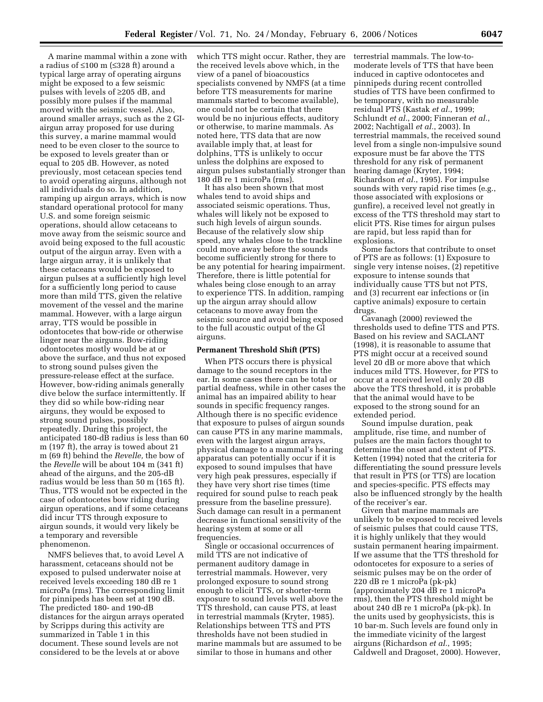A marine mammal within a zone with a radius of ≤100 m (≤328 ft) around a typical large array of operating airguns might be exposed to a few seismic pulses with levels of ≥205 dB, and possibly more pulses if the mammal moved with the seismic vessel. Also, around smaller arrays, such as the 2 GIairgun array proposed for use during this survey, a marine mammal would need to be even closer to the source to be exposed to levels greater than or equal to 205 dB. However, as noted previously, most cetacean species tend to avoid operating airguns, although not all individuals do so. In addition, ramping up airgun arrays, which is now standard operational protocol for many U.S. and some foreign seismic operations, should allow cetaceans to move away from the seismic source and avoid being exposed to the full acoustic output of the airgun array. Even with a large airgun array, it is unlikely that these cetaceans would be exposed to airgun pulses at a sufficiently high level for a sufficiently long period to cause more than mild TTS, given the relative movement of the vessel and the marine mammal. However, with a large airgun array, TTS would be possible in odontocetes that bow-ride or otherwise linger near the airguns. Bow-riding odontocetes mostly would be at or above the surface, and thus not exposed to strong sound pulses given the pressure-release effect at the surface. However, bow-riding animals generally dive below the surface intermittently. If they did so while bow-riding near airguns, they would be exposed to strong sound pulses, possibly repeatedly. During this project, the anticipated 180-dB radius is less than 60 m (197 ft), the array is towed about 21 m (69 ft) behind the *Revelle,* the bow of the *Revelle* will be about 104 m (341 ft) ahead of the airguns, and the 205-dB radius would be less than 50 m (165 ft). Thus, TTS would not be expected in the case of odontocetes bow riding during airgun operations, and if some cetaceans did incur TTS through exposure to airgun sounds, it would very likely be a temporary and reversible phenomenon.

NMFS believes that, to avoid Level A harassment, cetaceans should not be exposed to pulsed underwater noise at received levels exceeding 180 dB re 1 microPa (rms). The corresponding limit for pinnipeds has been set at 190 dB. The predicted 180- and 190-dB distances for the airgun arrays operated by Scripps during this activity are summarized in Table 1 in this document. These sound levels are not considered to be the levels at or above

which TTS might occur. Rather, they are the received levels above which, in the view of a panel of bioacoustics specialists convened by NMFS (at a time before TTS measurements for marine mammals started to become available), one could not be certain that there would be no injurious effects, auditory or otherwise, to marine mammals. As noted here, TTS data that are now available imply that, at least for dolphins, TTS is unlikely to occur unless the dolphins are exposed to airgun pulses substantially stronger than 180 dB re 1 microPa (rms).

It has also been shown that most whales tend to avoid ships and associated seismic operations. Thus, whales will likely not be exposed to such high levels of airgun sounds. Because of the relatively slow ship speed, any whales close to the trackline could move away before the sounds become sufficiently strong for there to be any potential for hearing impairment. Therefore, there is little potential for whales being close enough to an array to experience TTS. In addition, ramping up the airgun array should allow cetaceans to move away from the seismic source and avoid being exposed to the full acoustic output of the GI airguns.

### **Permanent Threshold Shift (PTS)**

When PTS occurs there is physical damage to the sound receptors in the ear. In some cases there can be total or partial deafness, while in other cases the animal has an impaired ability to hear sounds in specific frequency ranges. Although there is no specific evidence that exposure to pulses of airgun sounds can cause PTS in any marine mammals, even with the largest airgun arrays, physical damage to a mammal's hearing apparatus can potentially occur if it is exposed to sound impulses that have very high peak pressures, especially if they have very short rise times (time required for sound pulse to reach peak pressure from the baseline pressure). Such damage can result in a permanent decrease in functional sensitivity of the hearing system at some or all frequencies.

Single or occasional occurrences of mild TTS are not indicative of permanent auditory damage in terrestrial mammals. However, very prolonged exposure to sound strong enough to elicit TTS, or shorter-term exposure to sound levels well above the TTS threshold, can cause PTS, at least in terrestrial mammals (Kryter, 1985). Relationships between TTS and PTS thresholds have not been studied in marine mammals but are assumed to be similar to those in humans and other

terrestrial mammals. The low-tomoderate levels of TTS that have been induced in captive odontocetes and pinnipeds during recent controlled studies of TTS have been confirmed to be temporary, with no measurable residual PTS (Kastak *et al.*, 1999; Schlundt *et al.*, 2000; Finneran *et al.*, 2002; Nachtigall *et al.*, 2003). In terrestrial mammals, the received sound level from a single non-impulsive sound exposure must be far above the TTS threshold for any risk of permanent hearing damage (Kryter, 1994; Richardson *et al.*, 1995). For impulse sounds with very rapid rise times (e.g., those associated with explosions or gunfire), a received level not greatly in excess of the TTS threshold may start to elicit PTS. Rise times for airgun pulses are rapid, but less rapid than for explosions.

Some factors that contribute to onset of PTS are as follows: (1) Exposure to single very intense noises, (2) repetitive exposure to intense sounds that individually cause TTS but not PTS, and (3) recurrent ear infections or (in captive animals) exposure to certain drugs.

Cavanagh (2000) reviewed the thresholds used to define TTS and PTS. Based on his review and SACLANT (1998), it is reasonable to assume that PTS might occur at a received sound level 20 dB or more above that which induces mild TTS. However, for PTS to occur at a received level only 20 dB above the TTS threshold, it is probable that the animal would have to be exposed to the strong sound for an extended period.

Sound impulse duration, peak amplitude, rise time, and number of pulses are the main factors thought to determine the onset and extent of PTS. Ketten (1994) noted that the criteria for differentiating the sound pressure levels that result in PTS (or TTS) are location and species-specific. PTS effects may also be influenced strongly by the health of the receiver's ear.

Given that marine mammals are unlikely to be exposed to received levels of seismic pulses that could cause TTS, it is highly unlikely that they would sustain permanent hearing impairment. If we assume that the TTS threshold for odontocetes for exposure to a series of seismic pulses may be on the order of 220 dB re 1 microPa (pk-pk) (approximately 204 dB re 1 microPa rms), then the PTS threshold might be about 240 dB re 1 microPa (pk-pk). In the units used by geophysicists, this is 10 bar-m. Such levels are found only in the immediate vicinity of the largest airguns (Richardson *et al.*, 1995; Caldwell and Dragoset, 2000). However,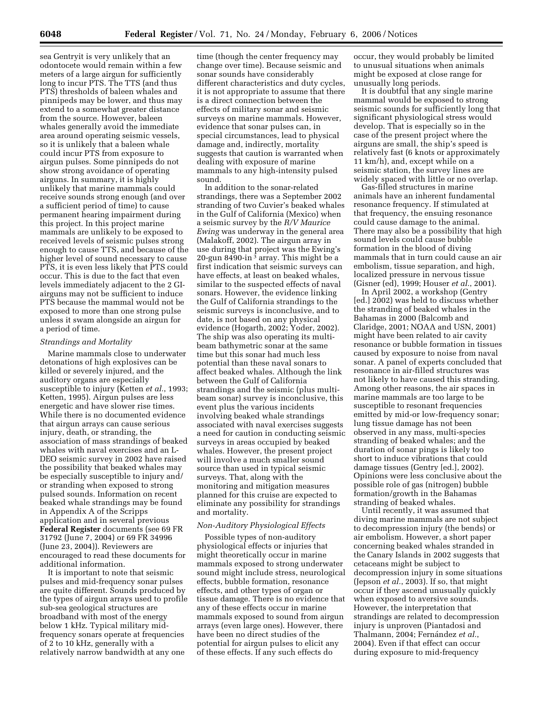sea Gentryit is very unlikely that an odontocete would remain within a few meters of a large airgun for sufficiently long to incur PTS. The TTS (and thus PTS) thresholds of baleen whales and pinnipeds may be lower, and thus may extend to a somewhat greater distance from the source. However, baleen whales generally avoid the immediate area around operating seismic vessels, so it is unlikely that a baleen whale could incur PTS from exposure to airgun pulses. Some pinnipeds do not show strong avoidance of operating airguns. In summary, it is highly unlikely that marine mammals could receive sounds strong enough (and over a sufficient period of time) to cause permanent hearing impairment during this project. In this project marine mammals are unlikely to be exposed to received levels of seismic pulses strong enough to cause TTS, and because of the higher level of sound necessary to cause PTS, it is even less likely that PTS could occur. This is due to the fact that even levels immediately adjacent to the 2 GIairguns may not be sufficient to induce PTS because the mammal would not be exposed to more than one strong pulse unless it swam alongside an airgun for a period of time.

### *Strandings and Mortality*

Marine mammals close to underwater detonations of high explosives can be killed or severely injured, and the auditory organs are especially susceptible to injury (Ketten *et al.*, 1993; Ketten, 1995). Airgun pulses are less energetic and have slower rise times. While there is no documented evidence that airgun arrays can cause serious injury, death, or stranding, the association of mass strandings of beaked whales with naval exercises and an L-DEO seismic survey in 2002 have raised the possibility that beaked whales may be especially susceptible to injury and/ or stranding when exposed to strong pulsed sounds. Information on recent beaked whale strandings may be found in Appendix A of the Scripps application and in several previous **Federal Register** documents (see 69 FR 31792 (June 7, 2004) or 69 FR 34996 (June 23, 2004)). Reviewers are encouraged to read these documents for additional information.

It is important to note that seismic pulses and mid-frequency sonar pulses are quite different. Sounds produced by the types of airgun arrays used to profile sub-sea geological structures are broadband with most of the energy below 1 kHz. Typical military midfrequency sonars operate at frequencies of 2 to 10 kHz, generally with a relatively narrow bandwidth at any one

time (though the center frequency may change over time). Because seismic and sonar sounds have considerably different characteristics and duty cycles, it is not appropriate to assume that there is a direct connection between the effects of military sonar and seismic surveys on marine mammals. However, evidence that sonar pulses can, in special circumstances, lead to physical damage and, indirectly, mortality suggests that caution is warranted when dealing with exposure of marine mammals to any high-intensity pulsed sound.

In addition to the sonar-related strandings, there was a September 2002 stranding of two Cuvier's beaked whales in the Gulf of California (Mexico) when a seismic survey by the *R/V Maurice Ewing* was underway in the general area (Malakoff, 2002). The airgun array in use during that project was the Ewing's 20-gun 8490-in 3 array. This might be a first indication that seismic surveys can have effects, at least on beaked whales, similar to the suspected effects of naval sonars. However, the evidence linking the Gulf of California strandings to the seismic surveys is inconclusive, and to date, is not based on any physical evidence (Hogarth, 2002; Yoder, 2002). The ship was also operating its multibeam bathymetric sonar at the same time but this sonar had much less potential than these naval sonars to affect beaked whales. Although the link between the Gulf of California strandings and the seismic (plus multibeam sonar) survey is inconclusive, this event plus the various incidents involving beaked whale strandings associated with naval exercises suggests a need for caution in conducting seismic surveys in areas occupied by beaked whales. However, the present project will involve a much smaller sound source than used in typical seismic surveys. That, along with the monitoring and mitigation measures planned for this cruise are expected to eliminate any possibility for strandings and mortality.

### *Non-Auditory Physiological Effects*

Possible types of non-auditory physiological effects or injuries that might theoretically occur in marine mammals exposed to strong underwater sound might include stress, neurological effects, bubble formation, resonance effects, and other types of organ or tissue damage. There is no evidence that any of these effects occur in marine mammals exposed to sound from airgun arrays (even large ones). However, there have been no direct studies of the potential for airgun pulses to elicit any of these effects. If any such effects do

occur, they would probably be limited to unusual situations when animals might be exposed at close range for unusually long periods.

It is doubtful that any single marine mammal would be exposed to strong seismic sounds for sufficiently long that significant physiological stress would develop. That is especially so in the case of the present project where the airguns are small, the ship's speed is relatively fast (6 knots or approximately 11 km/h), and, except while on a seismic station, the survey lines are widely spaced with little or no overlap.

Gas-filled structures in marine animals have an inherent fundamental resonance frequency. If stimulated at that frequency, the ensuing resonance could cause damage to the animal. There may also be a possibility that high sound levels could cause bubble formation in the blood of diving mammals that in turn could cause an air embolism, tissue separation, and high, localized pressure in nervous tissue (Gisner (ed), 1999; Houser *et al.*, 2001).

In April 2002, a workshop (Gentry [ed.] 2002) was held to discuss whether the stranding of beaked whales in the Bahamas in 2000 (Balcomb and Claridge, 2001; NOAA and USN, 2001) might have been related to air cavity resonance or bubble formation in tissues caused by exposure to noise from naval sonar. A panel of experts concluded that resonance in air-filled structures was not likely to have caused this stranding. Among other reasons, the air spaces in marine mammals are too large to be susceptible to resonant frequencies emitted by mid-or low-frequency sonar; lung tissue damage has not been observed in any mass, multi-species stranding of beaked whales; and the duration of sonar pings is likely too short to induce vibrations that could damage tissues (Gentry [ed.], 2002). Opinions were less conclusive about the possible role of gas (nitrogen) bubble formation/growth in the Bahamas stranding of beaked whales.

Until recently, it was assumed that diving marine mammals are not subject to decompression injury (the bends) or air embolism. However, a short paper concerning beaked whales stranded in the Canary Islands in 2002 suggests that cetaceans might be subject to decompression injury in some situations (Jepson *et al.*, 2003). If so, that might occur if they ascend unusually quickly when exposed to aversive sounds. However, the interpretation that strandings are related to decompression injury is unproven (Piantadosi and Thalmann, 2004; Fernández et al., 2004). Even if that effect can occur during exposure to mid-frequency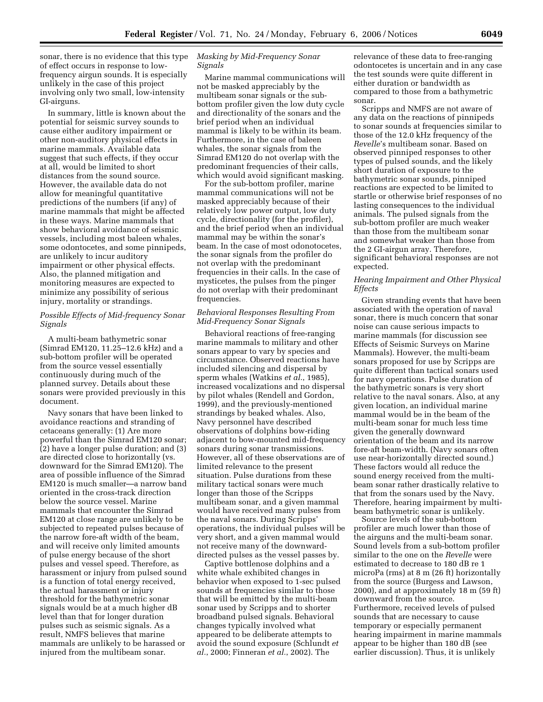sonar, there is no evidence that this type of effect occurs in response to lowfrequency airgun sounds. It is especially unlikely in the case of this project involving only two small, low-intensity GI-airguns.

In summary, little is known about the potential for seismic survey sounds to cause either auditory impairment or other non-auditory physical effects in marine mammals. Available data suggest that such effects, if they occur at all, would be limited to short distances from the sound source. However, the available data do not allow for meaningful quantitative predictions of the numbers (if any) of marine mammals that might be affected in these ways. Marine mammals that show behavioral avoidance of seismic vessels, including most baleen whales, some odontocetes, and some pinnipeds, are unlikely to incur auditory impairment or other physical effects. Also, the planned mitigation and monitoring measures are expected to minimize any possibility of serious injury, mortality or strandings.

# *Possible Effects of Mid-frequency Sonar Signals*

A multi-beam bathymetric sonar (Simrad EM120, 11.25–12.6 kHz) and a sub-bottom profiler will be operated from the source vessel essentially continuously during much of the planned survey. Details about these sonars were provided previously in this document.

Navy sonars that have been linked to avoidance reactions and stranding of cetaceans generally: (1) Are more powerful than the Simrad EM120 sonar; (2) have a longer pulse duration; and (3) are directed close to horizontally (vs. downward for the Simrad EM120). The area of possible influence of the Simrad EM120 is much smaller—a narrow band oriented in the cross-track direction below the source vessel. Marine mammals that encounter the Simrad EM120 at close range are unlikely to be subjected to repeated pulses because of the narrow fore-aft width of the beam, and will receive only limited amounts of pulse energy because of the short pulses and vessel speed. Therefore, as harassment or injury from pulsed sound is a function of total energy received, the actual harassment or injury threshold for the bathymetric sonar signals would be at a much higher dB level than that for longer duration pulses such as seismic signals. As a result, NMFS believes that marine mammals are unlikely to be harassed or injured from the multibeam sonar.

# *Masking by Mid-Frequency Sonar Signals*

Marine mammal communications will not be masked appreciably by the multibeam sonar signals or the subbottom profiler given the low duty cycle and directionality of the sonars and the brief period when an individual mammal is likely to be within its beam. Furthermore, in the case of baleen whales, the sonar signals from the Simrad EM120 do not overlap with the predominant frequencies of their calls, which would avoid significant masking.

For the sub-bottom profiler, marine mammal communications will not be masked appreciably because of their relatively low power output, low duty cycle, directionality (for the profiler), and the brief period when an individual mammal may be within the sonar's beam. In the case of most odonotocetes, the sonar signals from the profiler do not overlap with the predominant frequencies in their calls. In the case of mysticetes, the pulses from the pinger do not overlap with their predominant frequencies.

## *Behavioral Responses Resulting From Mid-Frequency Sonar Signals*

Behavioral reactions of free-ranging marine mammals to military and other sonars appear to vary by species and circumstance. Observed reactions have included silencing and dispersal by sperm whales (Watkins *et al.*, 1985), increased vocalizations and no dispersal by pilot whales (Rendell and Gordon, 1999), and the previously-mentioned strandings by beaked whales. Also, Navy personnel have described observations of dolphins bow-riding adjacent to bow-mounted mid-frequency sonars during sonar transmissions. However, all of these observations are of limited relevance to the present situation. Pulse durations from these military tactical sonars were much longer than those of the Scripps multibeam sonar, and a given mammal would have received many pulses from the naval sonars. During Scripps' operations, the individual pulses will be very short, and a given mammal would not receive many of the downwarddirected pulses as the vessel passes by.

Captive bottlenose dolphins and a white whale exhibited changes in behavior when exposed to 1-sec pulsed sounds at frequencies similar to those that will be emitted by the multi-beam sonar used by Scripps and to shorter broadband pulsed signals. Behavioral changes typically involved what appeared to be deliberate attempts to avoid the sound exposure (Schlundt *et al.*, 2000; Finneran *et al.*, 2002). The

relevance of these data to free-ranging odontocetes is uncertain and in any case the test sounds were quite different in either duration or bandwidth as compared to those from a bathymetric sonar.

Scripps and NMFS are not aware of any data on the reactions of pinnipeds to sonar sounds at frequencies similar to those of the 12.0 kHz frequency of the *Revelle*'s multibeam sonar. Based on observed pinniped responses to other types of pulsed sounds, and the likely short duration of exposure to the bathymetric sonar sounds, pinniped reactions are expected to be limited to startle or otherwise brief responses of no lasting consequences to the individual animals. The pulsed signals from the sub-bottom profiler are much weaker than those from the multibeam sonar and somewhat weaker than those from the 2 GI-airgun array. Therefore, significant behavioral responses are not expected.

## *Hearing Impairment and Other Physical Effects*

Given stranding events that have been associated with the operation of naval sonar, there is much concern that sonar noise can cause serious impacts to marine mammals (for discussion see Effects of Seismic Surveys on Marine Mammals). However, the multi-beam sonars proposed for use by Scripps are quite different than tactical sonars used for navy operations. Pulse duration of the bathymetric sonars is very short relative to the naval sonars. Also, at any given location, an individual marine mammal would be in the beam of the multi-beam sonar for much less time given the generally downward orientation of the beam and its narrow fore-aft beam-width. (Navy sonars often use near-horizontally directed sound.) These factors would all reduce the sound energy received from the multibeam sonar rather drastically relative to that from the sonars used by the Navy. Therefore, hearing impairment by multibeam bathymetric sonar is unlikely.

Source levels of the sub-bottom profiler are much lower than those of the airguns and the multi-beam sonar. Sound levels from a sub-bottom profiler similar to the one on the *Revelle* were estimated to decrease to 180 dB re 1 microPa (rms) at 8 m (26 ft) horizontally from the source (Burgess and Lawson, 2000), and at approximately 18 m (59 ft) downward from the source. Furthermore, received levels of pulsed sounds that are necessary to cause temporary or especially permanent hearing impairment in marine mammals appear to be higher than 180 dB (see earlier discussion). Thus, it is unlikely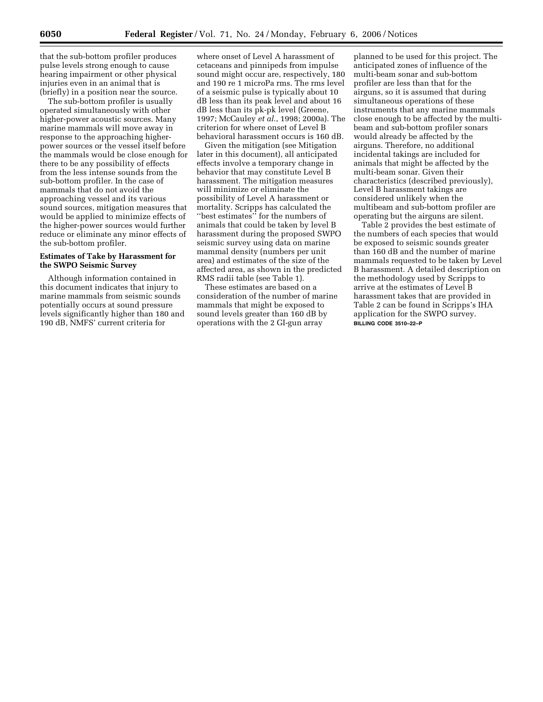that the sub-bottom profiler produces pulse levels strong enough to cause hearing impairment or other physical injuries even in an animal that is (briefly) in a position near the source.

The sub-bottom profiler is usually operated simultaneously with other higher-power acoustic sources. Many marine mammals will move away in response to the approaching higherpower sources or the vessel itself before the mammals would be close enough for there to be any possibility of effects from the less intense sounds from the sub-bottom profiler. In the case of mammals that do not avoid the approaching vessel and its various sound sources, mitigation measures that would be applied to minimize effects of the higher-power sources would further reduce or eliminate any minor effects of the sub-bottom profiler.

# **Estimates of Take by Harassment for the SWPO Seismic Survey**

Although information contained in this document indicates that injury to marine mammals from seismic sounds potentially occurs at sound pressure levels significantly higher than 180 and 190 dB, NMFS' current criteria for

where onset of Level A harassment of cetaceans and pinnipeds from impulse sound might occur are, respectively, 180 and 190 re 1 microPa rms. The rms level of a seismic pulse is typically about 10 dB less than its peak level and about 16 dB less than its pk-pk level (Greene, 1997; McCauley *et al.*, 1998; 2000a). The criterion for where onset of Level B behavioral harassment occurs is 160 dB.

Given the mitigation (see Mitigation later in this document), all anticipated effects involve a temporary change in behavior that may constitute Level B harassment. The mitigation measures will minimize or eliminate the possibility of Level A harassment or mortality. Scripps has calculated the ''best estimates'' for the numbers of animals that could be taken by level B harassment during the proposed SWPO seismic survey using data on marine mammal density (numbers per unit area) and estimates of the size of the affected area, as shown in the predicted RMS radii table (see Table 1).

These estimates are based on a consideration of the number of marine mammals that might be exposed to sound levels greater than 160 dB by operations with the 2 GI-gun array

planned to be used for this project. The anticipated zones of influence of the multi-beam sonar and sub-bottom profiler are less than that for the airguns, so it is assumed that during simultaneous operations of these instruments that any marine mammals close enough to be affected by the multibeam and sub-bottom profiler sonars would already be affected by the airguns. Therefore, no additional incidental takings are included for animals that might be affected by the multi-beam sonar. Given their characteristics (described previously), Level B harassment takings are considered unlikely when the multibeam and sub-bottom profiler are operating but the airguns are silent.

Table 2 provides the best estimate of the numbers of each species that would be exposed to seismic sounds greater than 160 dB and the number of marine mammals requested to be taken by Level B harassment. A detailed description on the methodology used by Scripps to arrive at the estimates of Level B harassment takes that are provided in Table 2 can be found in Scripps's IHA application for the SWPO survey. **BILLING CODE 3510–22–P**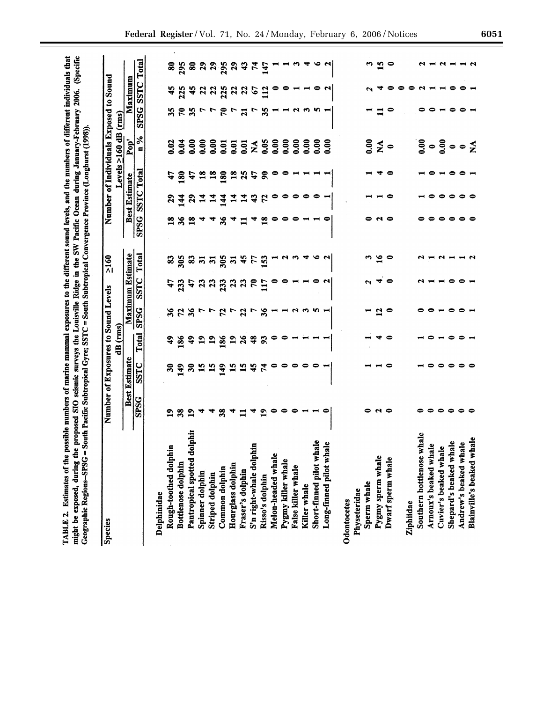| <b>Species</b>                     |                | Number of Exposures to Sound Levels |                             |                  |                            | $\frac{2160}{ }$ |                    |                             |                  |                                                                                                                                                                                                                                                                                                           | Number of Individuals Exposed to Sound |                  |                  |
|------------------------------------|----------------|-------------------------------------|-----------------------------|------------------|----------------------------|------------------|--------------------|-----------------------------|------------------|-----------------------------------------------------------------------------------------------------------------------------------------------------------------------------------------------------------------------------------------------------------------------------------------------------------|----------------------------------------|------------------|------------------|
|                                    |                |                                     | dB (rms)                    |                  |                            |                  |                    |                             |                  | Levels $\geq$ 160 dB (rms)                                                                                                                                                                                                                                                                                |                                        |                  |                  |
|                                    |                | <b>Best Estimate</b>                |                             |                  | Maximum Estimate           |                  |                    | <b>Best Estimate</b>        |                  | Pop'                                                                                                                                                                                                                                                                                                      |                                        | Maximum          |                  |
|                                    | <b>SPSG</b>    | SSTC                                | Total                       | <b>SPSG</b>      | SSTC                       | Total            | SPSG SSTC Total    |                             |                  | $\frac{6}{5}$                                                                                                                                                                                                                                                                                             | <b>SPSG SSTC Total</b>                 |                  |                  |
| Delphinidae                        |                |                                     |                             |                  |                            |                  |                    |                             |                  |                                                                                                                                                                                                                                                                                                           |                                        |                  |                  |
| Rough-toothed dolphin              | $\mathbf{a}$   | ౚ                                   | $\ddot{ }$                  | 36               | 47                         | 3                | $\mathbf{3}$       | $\boldsymbol{\mathsf{s}}$   | t,               | 0.02                                                                                                                                                                                                                                                                                                      | 35                                     | ¥                | 8                |
| Bottlenose dolphin                 | 38             | $\mathbf{a}$                        | 186                         | $\mathfrak{p}$   | 233                        | 305              | 36                 | $\frac{4}{3}$               | <u>180</u>       | 0.04                                                                                                                                                                                                                                                                                                      | ೯                                      | 225              | 295              |
| Pantropical spotted dolphin        | $\overline{1}$ | $\overline{\mathbf{3}}$             | $\ddot{ }$                  | న                | $\boldsymbol{t}$           |                  | $\mathbf{\hat{a}}$ | $\boldsymbol{\mathfrak{g}}$ | $\boldsymbol{t}$ | 0.00                                                                                                                                                                                                                                                                                                      | æ                                      | ÷                | 80               |
| Spinner dolphin                    |                | 15                                  | $\mathbf{r}$                |                  | $\boldsymbol{\mathcal{Z}}$ | <u>ន ដ</u>       |                    |                             | $\overline{18}$  | 0.00                                                                                                                                                                                                                                                                                                      |                                        | $\mathbf{z}$     | 29               |
| Striped dolphin                    |                | 15                                  | $\mathbf{a}$                | r                | 23                         | $\mathbf{2}$     |                    | 74                          | $\overline{18}$  | 0.00                                                                                                                                                                                                                                                                                                      |                                        | $\boldsymbol{z}$ | 29               |
| Common dolphin                     | 38             | $\frac{49}{5}$                      | 186                         | 52               | 233                        | 305              | 36                 | 144                         | 180              | 0.01                                                                                                                                                                                                                                                                                                      | چ                                      | 225              | 295              |
| Hourglass dolphin                  | ₹              | $\mathbf{5}$                        | $\mathbf{19}$               | r                | 23                         | $\ddot{a}$       |                    | $\overline{1}$              | $\overline{18}$  | 0.01                                                                                                                                                                                                                                                                                                      |                                        | $\boldsymbol{z}$ | 29               |
| Fraser's dolphin                   | $\blacksquare$ | 51                                  | $\boldsymbol{\mathcal{Z}}$  | $\boldsymbol{z}$ | 370                        | $\ddot{ }$       | $\mathbf{I}$       | $\mathbf{1}$                | 25               | 0.01                                                                                                                                                                                                                                                                                                      | $\overline{a}$                         | $\mathbf{z}$     | $\boldsymbol{3}$ |
| Ξ<br>S'n right-whale dolphi        | ₹              | 45                                  | $\boldsymbol{3}$            | r                |                            | 77               | ₹                  | 43                          | 47               | $\boldsymbol{\tilde{z}}$                                                                                                                                                                                                                                                                                  |                                        | $\mathcal{C}$    | $\mathbf{r}$     |
| Risso's dolphin                    | $\overline{9}$ | $\mathbf{r}$                        | $\boldsymbol{\mathfrak{B}}$ | 36               | $\Xi$                      | 153              | $\mathbf{a}$       | 52                          | కె               | 0.05                                                                                                                                                                                                                                                                                                      | 3S                                     | $\Xi$            | 147              |
| Melon-headed whale                 |                | 0                                   |                             |                  |                            |                  |                    |                             |                  | 0.00                                                                                                                                                                                                                                                                                                      |                                        |                  |                  |
| Pygmy killer whale                 |                | 0                                   |                             |                  |                            |                  |                    |                             |                  | 0.00                                                                                                                                                                                                                                                                                                      |                                        |                  |                  |
| False killer whale                 | 0              |                                     |                             | N                |                            |                  |                    |                             |                  | 0.00                                                                                                                                                                                                                                                                                                      | N                                      |                  |                  |
| Killer whale                       |                |                                     |                             | ∾                |                            |                  |                    |                             |                  | 0.00                                                                                                                                                                                                                                                                                                      |                                        |                  | ₹                |
| Short-finned pilot whale           |                |                                     |                             | 5                |                            |                  |                    |                             |                  | 0.00                                                                                                                                                                                                                                                                                                      |                                        |                  | ڡ                |
| یه<br>Long-finned pilot whal       |                |                                     |                             |                  |                            |                  |                    |                             |                  | 0.00                                                                                                                                                                                                                                                                                                      |                                        |                  |                  |
| Odontocetes                        |                |                                     |                             |                  |                            |                  |                    |                             |                  |                                                                                                                                                                                                                                                                                                           |                                        |                  |                  |
| Physeteridae                       |                |                                     |                             |                  |                            |                  |                    |                             |                  |                                                                                                                                                                                                                                                                                                           |                                        |                  |                  |
| Sperm whale                        |                |                                     |                             |                  |                            | ణ                |                    |                             |                  | 0.00                                                                                                                                                                                                                                                                                                      |                                        |                  | ω.               |
| Pygmy sperm whale                  | $\sim$ 0       |                                     |                             | $\mathbf{r}$     |                            | $\overline{16}$  | ભ                  |                             |                  | $\boldsymbol{\Sigma}$                                                                                                                                                                                                                                                                                     |                                        |                  | $\mathbf{5}$     |
| Dwarf sperm whale                  |                |                                     |                             | 0                | $\bullet$                  | 0                |                    |                             |                  | $\bullet$                                                                                                                                                                                                                                                                                                 |                                        |                  | $\bullet$        |
|                                    |                |                                     |                             |                  |                            |                  |                    |                             |                  |                                                                                                                                                                                                                                                                                                           |                                        |                  |                  |
| Ziphiidae                          |                |                                     |                             |                  |                            |                  |                    |                             |                  |                                                                                                                                                                                                                                                                                                           |                                        | ≏                |                  |
| hale<br>Southern bottlenose wl     |                |                                     |                             |                  |                            |                  |                    |                             |                  |                                                                                                                                                                                                                                                                                                           |                                        | N                |                  |
| Arnoux's beaked whale              |                |                                     |                             |                  |                            |                  |                    |                             |                  | $rac{1}{2}$ $rac{1}{2}$ $rac{1}{2}$ $rac{1}{2}$ $rac{1}{2}$ $rac{1}{2}$ $rac{1}{2}$ $rac{1}{2}$ $rac{1}{2}$ $rac{1}{2}$ $rac{1}{2}$ $rac{1}{2}$ $rac{1}{2}$ $rac{1}{2}$ $rac{1}{2}$ $rac{1}{2}$ $rac{1}{2}$ $rac{1}{2}$ $rac{1}{2}$ $rac{1}{2}$ $rac{1}{2}$ $rac{1}{2}$ $rac{1}{2}$ $rac{1}{2}$ $rac{1}{$ |                                        |                  |                  |
| Cuvier's beaked whale              |                |                                     |                             |                  |                            | $\sim$ $\sim$    |                    |                             |                  |                                                                                                                                                                                                                                                                                                           |                                        |                  | $\sim$           |
| $\bullet$<br>Shepard's beaked whal | 0              | ∊                                   | 0                           | 0                |                            |                  |                    | 0                           | 0                |                                                                                                                                                                                                                                                                                                           |                                        | 0                | −                |
| $\bullet$<br>Andrew's beaked whal  | 0              |                                     |                             |                  |                            |                  |                    | 0                           |                  |                                                                                                                                                                                                                                                                                                           |                                        |                  |                  |
| Blainville's beaked whale          |                |                                     |                             |                  |                            |                  |                    |                             |                  |                                                                                                                                                                                                                                                                                                           |                                        |                  |                  |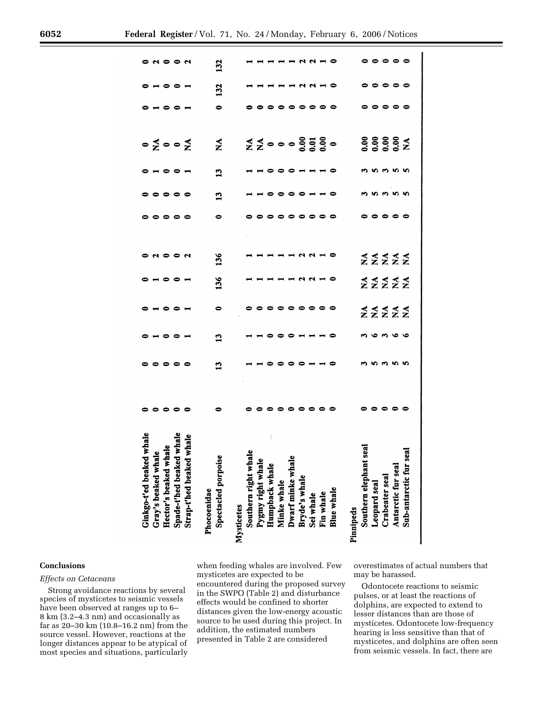| de<br>Ginkgo-t'ed beaked wl<br>Gray's beaked whale. |                                  | -----        | -----            | -----                                                                       | <b>-----</b>                                                           | o u o o u                                                                                                                                                                                                                                                                                                                                                                                 | .         | <b></b>           | <b>0 - 0 0 -</b> | $\circ \xi \circ \circ \xi$ | -----                                 | -----             | 0 N 0 0 N |
|-----------------------------------------------------|----------------------------------|--------------|------------------|-----------------------------------------------------------------------------|------------------------------------------------------------------------|-------------------------------------------------------------------------------------------------------------------------------------------------------------------------------------------------------------------------------------------------------------------------------------------------------------------------------------------------------------------------------------------|-----------|-------------------|------------------|-----------------------------|---------------------------------------|-------------------|-----------|
| Hector's beaked whale                               | $\circ\circ\circ\circ$           |              |                  |                                                                             |                                                                        |                                                                                                                                                                                                                                                                                                                                                                                           |           |                   |                  |                             |                                       |                   |           |
| Spade-t'hed beaked wl                               |                                  |              |                  |                                                                             |                                                                        |                                                                                                                                                                                                                                                                                                                                                                                           |           |                   |                  |                             |                                       |                   |           |
| hale<br>1ale<br>Strap-t'hed beaked wh               |                                  |              |                  |                                                                             |                                                                        |                                                                                                                                                                                                                                                                                                                                                                                           |           |                   |                  |                             |                                       |                   |           |
| Phocoenidae                                         |                                  |              |                  |                                                                             |                                                                        |                                                                                                                                                                                                                                                                                                                                                                                           |           |                   |                  |                             |                                       |                   |           |
| <b>Spectacled porpoise</b>                          | 0                                | $\mathbf{1}$ | 13               | $\bullet$                                                                   | 136                                                                    | 136                                                                                                                                                                                                                                                                                                                                                                                       | 0         | 13                | $\mathbf{13}$    | $\boldsymbol{\Sigma}$       | $\bullet$                             | 132               | 132       |
|                                                     |                                  |              |                  |                                                                             |                                                                        |                                                                                                                                                                                                                                                                                                                                                                                           |           |                   |                  |                             |                                       |                   |           |
| Southern right whale                                |                                  |              |                  |                                                                             |                                                                        |                                                                                                                                                                                                                                                                                                                                                                                           |           |                   |                  |                             |                                       |                   |           |
| Pygmy right whale                                   |                                  |              |                  |                                                                             |                                                                        |                                                                                                                                                                                                                                                                                                                                                                                           |           |                   |                  |                             |                                       |                   |           |
| Humpback whale                                      | $\circ\circ\circ\circ\circ\circ$ |              | <b>---------</b> | 。。。。。。。。。。                                                                  | <b>1111111110</b>                                                      | HHHHNNHO                                                                                                                                                                                                                                                                                                                                                                                  | 。。。。。。。。。 | <b>----------</b> | <b>---------</b> |                             | $\circ\circ\circ\circ\circ\circ\circ$ | <b>----------</b> |           |
| Minke whale<br>Dwarf minke whale                    |                                  |              |                  |                                                                             |                                                                        |                                                                                                                                                                                                                                                                                                                                                                                           |           |                   |                  |                             |                                       |                   | $      -$ |
|                                                     |                                  |              |                  |                                                                             |                                                                        |                                                                                                                                                                                                                                                                                                                                                                                           |           |                   |                  |                             |                                       |                   |           |
| Bryde's whale                                       |                                  |              |                  |                                                                             |                                                                        |                                                                                                                                                                                                                                                                                                                                                                                           |           |                   |                  |                             |                                       |                   |           |
| Sei whale                                           |                                  |              |                  |                                                                             |                                                                        |                                                                                                                                                                                                                                                                                                                                                                                           |           |                   |                  |                             |                                       |                   |           |
| Fin whale                                           |                                  |              |                  |                                                                             |                                                                        |                                                                                                                                                                                                                                                                                                                                                                                           |           |                   |                  |                             |                                       |                   |           |
| Blue whale                                          |                                  |              |                  |                                                                             |                                                                        |                                                                                                                                                                                                                                                                                                                                                                                           |           |                   |                  |                             |                                       |                   |           |
|                                                     |                                  |              |                  |                                                                             |                                                                        |                                                                                                                                                                                                                                                                                                                                                                                           |           |                   |                  |                             |                                       |                   |           |
| Southern elephant seal                              |                                  |              |                  |                                                                             |                                                                        |                                                                                                                                                                                                                                                                                                                                                                                           |           |                   |                  |                             |                                       |                   |           |
| Leopard seal                                        |                                  |              |                  |                                                                             |                                                                        |                                                                                                                                                                                                                                                                                                                                                                                           |           |                   |                  |                             |                                       |                   |           |
| Crabeater seal                                      |                                  |              |                  |                                                                             |                                                                        |                                                                                                                                                                                                                                                                                                                                                                                           |           |                   |                  |                             |                                       |                   |           |
| Antarctic fur seal                                  | $\circ\circ\circ\circ\circ$      | ოოოოო        | 99999            | $Z\mathop{\Sigma}\limits Z\mathop{\Sigma}\limits Z\mathop{\Sigma}\limits Z$ | $\begin{array}{c}\n 4 & 4 & 4 \\ 2 & 2 & 2 \\ 3 & 4 & 5\n \end{array}$ | $Z\mathop{\mathop{\mathop{\mathop{\scriptstyle\mathop{\scriptstyle\mathop{\scriptstyle\mathop{\scriptstyle\mathop{\scriptstyle\mathop{\scriptstyle\mathop{\scriptstyle\mathop{\scriptstyle\mathop{\scriptstyle\mathop{\scriptstyle\mathop{\scriptstyle\mathop{\scriptstyle\mathop{\scriptstyle\mathop{\scriptstyle\mathop{\scriptstyle\mathop{\scriptstyle\mathop{\cal E}}}}}}}}}}}\,X}}$ |           | <b>ന ഗ ന ഗ ഗ</b>  | mnmnn            | 88888<br>88888              | <b></b>                               | <b></b>           | -----     |
| Sub-antarctic fur seal                              |                                  |              |                  |                                                                             |                                                                        |                                                                                                                                                                                                                                                                                                                                                                                           |           |                   |                  |                             |                                       |                   |           |

### **Conclusions**

### *Effects on Cetaceans*

Strong avoidance reactions by several species of mysticetes to seismic vessels have been observed at ranges up to 6– 8 km (3.2–4.3 nm) and occasionally as far as 20–30 km (10.8–16.2 nm) from the source vessel. However, reactions at the longer distances appear to be atypical of most species and situations, particularly

when feeding whales are involved. Few mysticetes are expected to be encountered during the proposed survey in the SWPO (Table 2) and disturbance effects would be confined to shorter distances given the low-energy acoustic source to be used during this project. In addition, the estimated numbers presented in Table 2 are considered

overestimates of actual numbers that may be harassed.

Odontocete reactions to seismic pulses, or at least the reactions of dolphins, are expected to extend to lesser distances than are those of mysticetes. Odontocete low-frequency hearing is less sensitive than that of mysticetes, and dolphins are often seen from seismic vessels. In fact, there are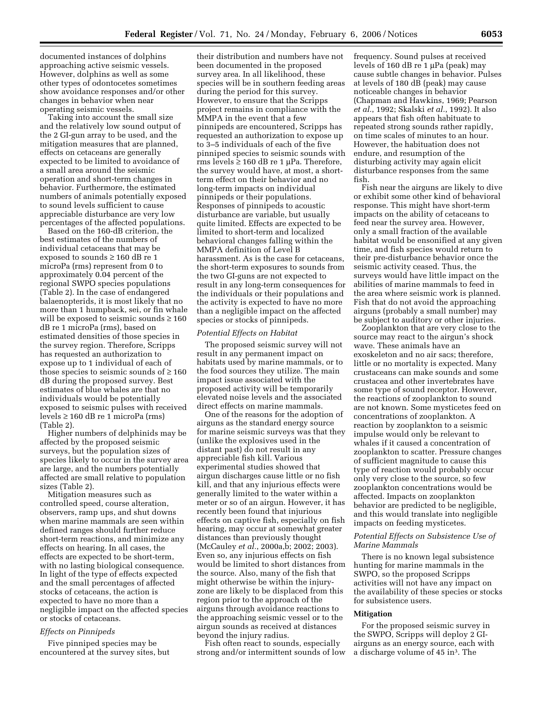documented instances of dolphins approaching active seismic vessels. However, dolphins as well as some other types of odontocetes sometimes show avoidance responses and/or other changes in behavior when near operating seismic vessels.

Taking into account the small size and the relatively low sound output of the 2 GI-gun array to be used, and the mitigation measures that are planned, effects on cetaceans are generally expected to be limited to avoidance of a small area around the seismic operation and short-term changes in behavior. Furthermore, the estimated numbers of animals potentially exposed to sound levels sufficient to cause appreciable disturbance are very low percentages of the affected populations.

Based on the 160-dB criterion, the best estimates of the numbers of individual cetaceans that may be exposed to sounds ≥ 160 dB re 1 microPa (rms) represent from 0 to approximately 0.04 percent of the regional SWPO species populations (Table 2). In the case of endangered balaenopterids, it is most likely that no more than 1 humpback, sei, or fin whale will be exposed to seismic sounds  $\geq 160$ dB re 1 microPa (rms), based on estimated densities of those species in the survey region. Therefore, Scripps has requested an authorization to expose up to 1 individual of each of those species to seismic sounds of  $\geq 160$ dB during the proposed survey. Best estimates of blue whales are that no individuals would be potentially exposed to seismic pulses with received levels ≥ 160 dB re 1 microPa (rms) (Table 2).

Higher numbers of delphinids may be affected by the proposed seismic surveys, but the population sizes of species likely to occur in the survey area are large, and the numbers potentially affected are small relative to population sizes (Table 2).

Mitigation measures such as controlled speed, course alteration, observers, ramp ups, and shut downs when marine mammals are seen within defined ranges should further reduce short-term reactions, and minimize any effects on hearing. In all cases, the effects are expected to be short-term, with no lasting biological consequence. In light of the type of effects expected and the small percentages of affected stocks of cetaceans, the action is expected to have no more than a negligible impact on the affected species or stocks of cetaceans.

# *Effects on Pinnipeds*

Five pinniped species may be encountered at the survey sites, but

their distribution and numbers have not been documented in the proposed survey area. In all likelihood, these species will be in southern feeding areas during the period for this survey. However, to ensure that the Scripps project remains in compliance with the MMPA in the event that a few pinnipeds are encountered, Scripps has requested an authorization to expose up to 3–5 individuals of each of the five pinniped species to seismic sounds with rms levels  $\geq 160$  dB re 1 µPa. Therefore, the survey would have, at most, a shortterm effect on their behavior and no long-term impacts on individual pinnipeds or their populations. Responses of pinnipeds to acoustic disturbance are variable, but usually quite limited. Effects are expected to be limited to short-term and localized behavioral changes falling within the MMPA definition of Level B harassment. As is the case for cetaceans, the short-term exposures to sounds from the two GI-guns are not expected to result in any long-term consequences for the individuals or their populations and the activity is expected to have no more than a negligible impact on the affected species or stocks of pinnipeds.

# *Potential Effects on Habitat*

The proposed seismic survey will not result in any permanent impact on habitats used by marine mammals, or to the food sources they utilize. The main impact issue associated with the proposed activity will be temporarily elevated noise levels and the associated direct effects on marine mammals.

One of the reasons for the adoption of airguns as the standard energy source for marine seismic surveys was that they (unlike the explosives used in the distant past) do not result in any appreciable fish kill. Various experimental studies showed that airgun discharges cause little or no fish kill, and that any injurious effects were generally limited to the water within a meter or so of an airgun. However, it has recently been found that injurious effects on captive fish, especially on fish hearing, may occur at somewhat greater distances than previously thought (McCauley *et al.*, 2000a,b; 2002; 2003). Even so, any injurious effects on fish would be limited to short distances from the source. Also, many of the fish that might otherwise be within the injuryzone are likely to be displaced from this region prior to the approach of the airguns through avoidance reactions to the approaching seismic vessel or to the airgun sounds as received at distances beyond the injury radius.

Fish often react to sounds, especially strong and/or intermittent sounds of low frequency. Sound pulses at received levels of 160 dB re 1 µPa (peak) may cause subtle changes in behavior. Pulses at levels of 180 dB (peak) may cause noticeable changes in behavior (Chapman and Hawkins, 1969; Pearson *et al.*, 1992; Skalski *et al.*, 1992). It also appears that fish often habituate to repeated strong sounds rather rapidly, on time scales of minutes to an hour. However, the habituation does not endure, and resumption of the disturbing activity may again elicit disturbance responses from the same fish.

Fish near the airguns are likely to dive or exhibit some other kind of behavioral response. This might have short-term impacts on the ability of cetaceans to feed near the survey area. However, only a small fraction of the available habitat would be ensonified at any given time, and fish species would return to their pre-disturbance behavior once the seismic activity ceased. Thus, the surveys would have little impact on the abilities of marine mammals to feed in the area where seismic work is planned. Fish that do not avoid the approaching airguns (probably a small number) may be subject to auditory or other injuries.

Zooplankton that are very close to the source may react to the airgun's shock wave. These animals have an exoskeleton and no air sacs; therefore, little or no mortality is expected. Many crustaceans can make sounds and some crustacea and other invertebrates have some type of sound receptor. However, the reactions of zooplankton to sound are not known. Some mysticetes feed on concentrations of zooplankton. A reaction by zooplankton to a seismic impulse would only be relevant to whales if it caused a concentration of zooplankton to scatter. Pressure changes of sufficient magnitude to cause this type of reaction would probably occur only very close to the source, so few zooplankton concentrations would be affected. Impacts on zooplankton behavior are predicted to be negligible, and this would translate into negligible impacts on feeding mysticetes.

# *Potential Effects on Subsistence Use of Marine Mammals*

There is no known legal subsistence hunting for marine mammals in the SWPO, so the proposed Scripps activities will not have any impact on the availability of these species or stocks for subsistence users.

#### **Mitigation**

For the proposed seismic survey in the SWPO, Scripps will deploy 2 GIairguns as an energy source, each with a discharge volume of 45 in3. The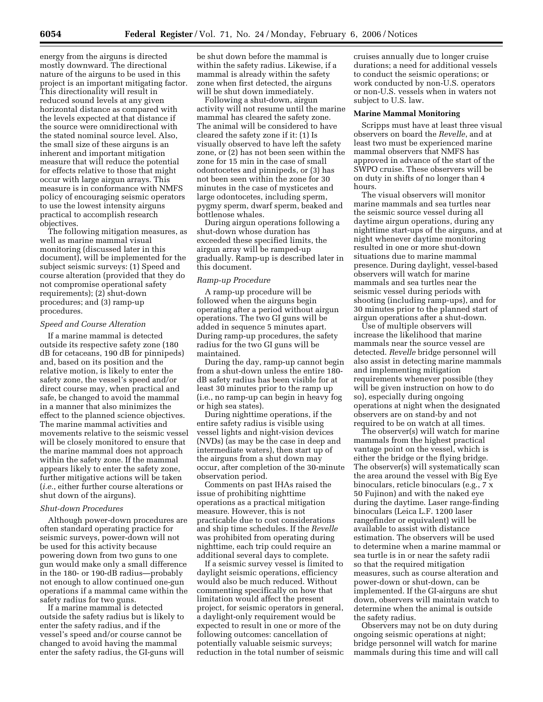energy from the airguns is directed mostly downward. The directional nature of the airguns to be used in this project is an important mitigating factor. This directionality will result in reduced sound levels at any given horizontal distance as compared with the levels expected at that distance if the source were omnidirectional with the stated nominal source level. Also, the small size of these airguns is an inherent and important mitigation measure that will reduce the potential for effects relative to those that might occur with large airgun arrays. This measure is in conformance with NMFS policy of encouraging seismic operators to use the lowest intensity airguns practical to accomplish research objectives.

The following mitigation measures, as well as marine mammal visual monitoring (discussed later in this document), will be implemented for the subject seismic surveys: (1) Speed and course alteration (provided that they do not compromise operational safety requirements); (2) shut-down procedures; and (3) ramp-up procedures.

#### *Speed and Course Alteration*

If a marine mammal is detected outside its respective safety zone (180 dB for cetaceans, 190 dB for pinnipeds) and, based on its position and the relative motion, is likely to enter the safety zone, the vessel's speed and/or direct course may, when practical and safe, be changed to avoid the mammal in a manner that also minimizes the effect to the planned science objectives. The marine mammal activities and movements relative to the seismic vessel will be closely monitored to ensure that the marine mammal does not approach within the safety zone. If the mammal appears likely to enter the safety zone, further mitigative actions will be taken (*i.e.*, either further course alterations or shut down of the airguns).

## *Shut-down Procedures*

Although power-down procedures are often standard operating practice for seismic surveys, power-down will not be used for this activity because powering down from two guns to one gun would make only a small difference in the 180- or 190-dB radius—probably not enough to allow continued one-gun operations if a mammal came within the safety radius for two guns.

If a marine mammal is detected outside the safety radius but is likely to enter the safety radius, and if the vessel's speed and/or course cannot be changed to avoid having the mammal enter the safety radius, the GI-guns will

be shut down before the mammal is within the safety radius. Likewise, if a mammal is already within the safety zone when first detected, the airguns will be shut down immediately.

Following a shut-down, airgun activity will not resume until the marine mammal has cleared the safety zone. The animal will be considered to have cleared the safety zone if it: (1) Is visually observed to have left the safety zone, or (2) has not been seen within the zone for 15 min in the case of small odontocetes and pinnipeds, or (3) has not been seen within the zone for 30 minutes in the case of mysticetes and large odontocetes, including sperm, pygmy sperm, dwarf sperm, beaked and bottlenose whales.

During airgun operations following a shut-down whose duration has exceeded these specified limits, the airgun array will be ramped-up gradually. Ramp-up is described later in this document.

#### *Ramp-up Procedure*

A ramp-up procedure will be followed when the airguns begin operating after a period without airgun operations. The two GI guns will be added in sequence 5 minutes apart. During ramp-up procedures, the safety radius for the two GI guns will be maintained.

During the day, ramp-up cannot begin from a shut-down unless the entire 180 dB safety radius has been visible for at least 30 minutes prior to the ramp up (i.e., no ramp-up can begin in heavy fog or high sea states).

During nighttime operations, if the entire safety radius is visible using vessel lights and night-vision devices (NVDs) (as may be the case in deep and intermediate waters), then start up of the airguns from a shut down may occur, after completion of the 30-minute observation period.

Comments on past IHAs raised the issue of prohibiting nighttime operations as a practical mitigation measure. However, this is not practicable due to cost considerations and ship time schedules. If the *Revelle*  was prohibited from operating during nighttime, each trip could require an additional several days to complete.

If a seismic survey vessel is limited to daylight seismic operations, efficiency would also be much reduced. Without commenting specifically on how that limitation would affect the present project, for seismic operators in general, a daylight-only requirement would be expected to result in one or more of the following outcomes: cancellation of potentially valuable seismic surveys; reduction in the total number of seismic

cruises annually due to longer cruise durations; a need for additional vessels to conduct the seismic operations; or work conducted by non-U.S. operators or non-U.S. vessels when in waters not subject to U.S. law.

#### **Marine Mammal Monitoring**

Scripps must have at least three visual observers on board the *Revelle*, and at least two must be experienced marine mammal observers that NMFS has approved in advance of the start of the SWPO cruise. These observers will be on duty in shifts of no longer than 4 hours.

The visual observers will monitor marine mammals and sea turtles near the seismic source vessel during all daytime airgun operations, during any nighttime start-ups of the airguns, and at night whenever daytime monitoring resulted in one or more shut-down situations due to marine mammal presence. During daylight, vessel-based observers will watch for marine mammals and sea turtles near the seismic vessel during periods with shooting (including ramp-ups), and for 30 minutes prior to the planned start of airgun operations after a shut-down.

Use of multiple observers will increase the likelihood that marine mammals near the source vessel are detected. *Revelle* bridge personnel will also assist in detecting marine mammals and implementing mitigation requirements whenever possible (they will be given instruction on how to do so), especially during ongoing operations at night when the designated observers are on stand-by and not required to be on watch at all times.

The observer(s) will watch for marine mammals from the highest practical vantage point on the vessel, which is either the bridge or the flying bridge. The observer(s) will systematically scan the area around the vessel with Big Eye binoculars, reticle binoculars (e.g., 7 x 50 Fujinon) and with the naked eye during the daytime. Laser range-finding binoculars (Leica L.F. 1200 laser rangefinder or equivalent) will be available to assist with distance estimation. The observers will be used to determine when a marine mammal or sea turtle is in or near the safety radii so that the required mitigation measures, such as course alteration and power-down or shut-down, can be implemented. If the GI-airguns are shut down, observers will maintain watch to determine when the animal is outside the safety radius.

Observers may not be on duty during ongoing seismic operations at night; bridge personnel will watch for marine mammals during this time and will call